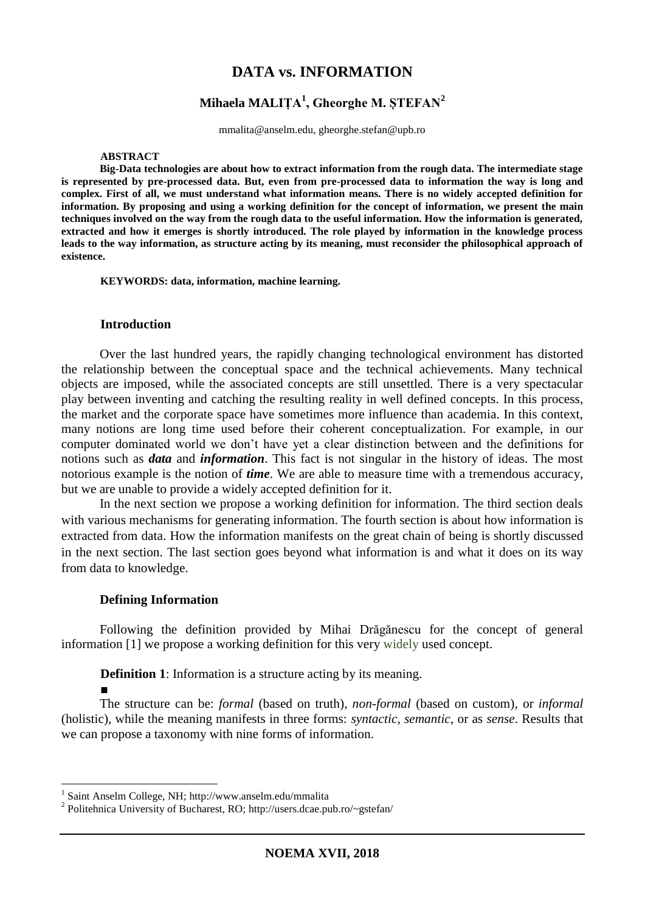# **DATA vs. INFORMATION**

# **Mihaela MALIȚA<sup>1</sup> , Gheorghe M. ȘTEFAN<sup>2</sup>**

mmalita@anselm.edu, gheorghe.stefan@upb.ro

#### **ABSTRACT**

**Big-Data technologies are about how to extract information from the rough data. The intermediate stage is represented by pre-processed data. But, even from pre-processed data to information the way is long and complex. First of all, we must understand what information means. There is no widely accepted definition for information. By proposing and using a working definition for the concept of information, we present the main techniques involved on the way from the rough data to the useful information. How the information is generated, extracted and how it emerges is shortly introduced. The role played by information in the knowledge process leads to the way information, as structure acting by its meaning, must reconsider the philosophical approach of existence.**

**KEYWORDS: data, information, machine learning.**

#### **Introduction**

Over the last hundred years, the rapidly changing technological environment has distorted the relationship between the conceptual space and the technical achievements. Many technical objects are imposed, while the associated concepts are still unsettled. There is a very spectacular play between inventing and catching the resulting reality in well defined concepts. In this process, the market and the corporate space have sometimes more influence than academia. In this context, many notions are long time used before their coherent conceptualization. For example, in our computer dominated world we don't have yet a clear distinction between and the definitions for notions such as *data* and *information*. This fact is not singular in the history of ideas. The most notorious example is the notion of *time*. We are able to measure time with a tremendous accuracy, but we are unable to provide a widely accepted definition for it.

In the next section we propose a working definition for information. The third section deals with various mechanisms for generating information. The fourth section is about how information is extracted from data. How the information manifests on the great chain of being is shortly discussed in the next section. The last section goes beyond what information is and what it does on its way from data to knowledge.

### **Defining Information**

■

**.** 

Following the definition provided by Mihai Drăgănescu for the concept of general information [1] we propose a working definition for this very widely used concept.

**Definition 1**: Information is a structure acting by its meaning.

The structure can be: *formal* (based on truth)*, non-formal* (based on custom)*,* or *informal*  (holistic), while the meaning manifests in three forms: *syntactic, semantic*, or as *sense*. Results that we can propose a taxonomy with nine forms of information.

<sup>1</sup> Saint Anselm College, NH; http://www.anselm.edu/mmalita

<sup>&</sup>lt;sup>2</sup> Politehnica University of Bucharest, RO; http://users.dcae.pub.ro/~gstefan/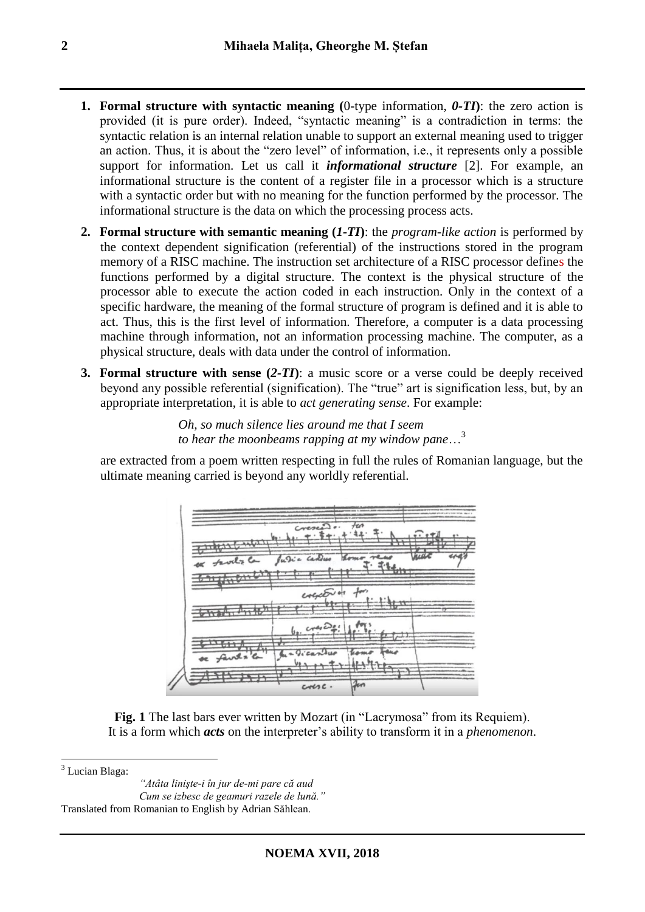- **1. Formal structure with syntactic meaning (**0-type information, *0-TI***)**: the zero action is provided (it is pure order). Indeed, "syntactic meaning" is a contradiction in terms: the syntactic relation is an internal relation unable to support an external meaning used to trigger an action. Thus, it is about the "zero level" of information, i.e., it represents only a possible support for information. Let us call it *informational structure* [2]. For example, an informational structure is the content of a register file in a processor which is a structure with a syntactic order but with no meaning for the function performed by the processor. The informational structure is the data on which the processing process acts.
- **2. Formal structure with semantic meaning (***1-TI***)**: the *program-like action* is performed by the context dependent signification (referential) of the instructions stored in the program memory of a RISC machine. The instruction set architecture of a RISC processor defines the functions performed by a digital structure. The context is the physical structure of the processor able to execute the action coded in each instruction. Only in the context of a specific hardware, the meaning of the formal structure of program is defined and it is able to act. Thus, this is the first level of information. Therefore, a computer is a data processing machine through information, not an information processing machine. The computer, as a physical structure, deals with data under the control of information.
- **3. Formal structure with sense (***2-TI***)**: a music score or a verse could be deeply received beyond any possible referential (signification). The "true" art is signification less, but, by an appropriate interpretation, it is able to *act generating sense*. For example:

*Oh, so much silence lies around me that I seem to hear the moonbeams rapping at my window pane*…<sup>3</sup>

are extracted from a poem written respecting in full the rules of Romanian language, but the ultimate meaning carried is beyond any worldly referential.



Fig. 1 The last bars ever written by Mozart (in "Lacrymosa" from its Requiem). It is a form which *acts* on the interpreter's ability to transform it in a *phenomenon*.

 $3$  Lucian Blaga:

1

*"Atâta linişte-i în jur de-mi pare că aud Cum se izbesc de geamuri razele de lună."* Translated from Romanian to English by Adrian Săhlean.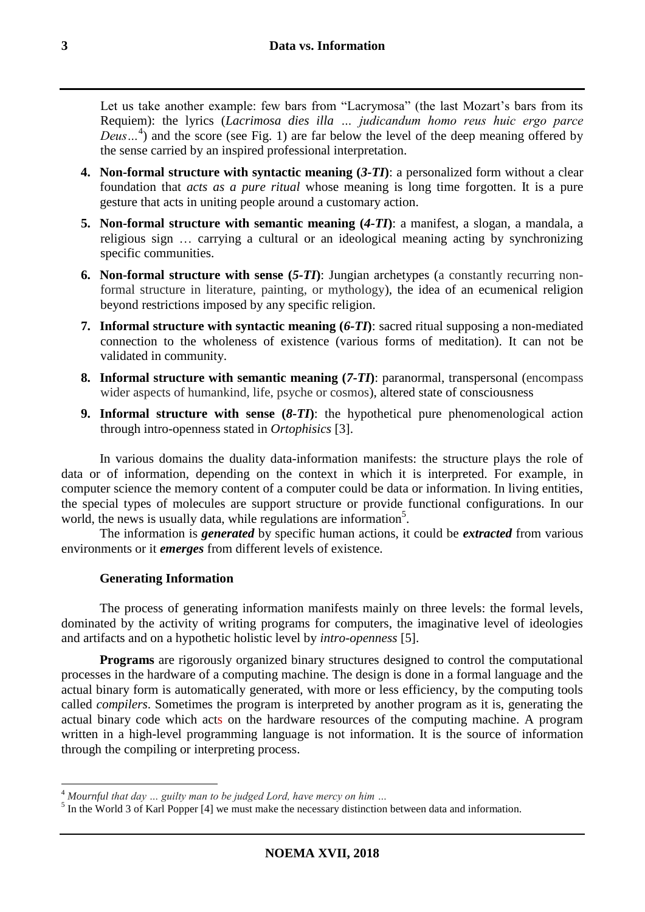Let us take another example: few bars from "Lacrymosa" (the last Mozart's bars from its Requiem): the lyrics (*Lacrimosa dies illa … judicandum homo reus huic ergo parce Deus…*<sup>4</sup> ) and the score (see Fig. 1) are far below the level of the deep meaning offered by the sense carried by an inspired professional interpretation.

- **4. Non-formal structure with syntactic meaning (***3-TI***)**: a personalized form without a clear foundation that *acts as a pure ritual* whose meaning is long time forgotten. It is a pure gesture that acts in uniting people around a customary action.
- **5. Non-formal structure with semantic meaning (***4-TI***)**: a manifest, a slogan, a mandala, a religious sign … carrying a cultural or an ideological meaning acting by synchronizing specific communities.
- **6. Non-formal structure with sense (***5-TI***)**: Jungian archetypes (a constantly recurring nonformal structure in literature, painting, or mythology), the idea of an ecumenical religion beyond restrictions imposed by any specific religion.
- **7. Informal structure with syntactic meaning (***6-TI***)**: sacred ritual supposing a non-mediated connection to the wholeness of existence (various forms of meditation). It can not be validated in community.
- **8. Informal structure with semantic meaning (***7-TI***)**: paranormal, transpersonal (encompass wider aspects of humankind, life, psyche or cosmos), altered state of consciousness
- **9. Informal structure with sense (***8-TI***)**: the hypothetical pure phenomenological action through intro-openness stated in *Ortophisics* [3].

In various domains the duality data-information manifests: the structure plays the role of data or of information, depending on the context in which it is interpreted. For example, in computer science the memory content of a computer could be data or information. In living entities, the special types of molecules are support structure or provide functional configurations. In our world, the news is usually data, while regulations are information<sup>5</sup>.

The information is *generated* by specific human actions, it could be *extracted* from various environments or it *emerges* from different levels of existence.

# **Generating Information**

**.** 

The process of generating information manifests mainly on three levels: the formal levels, dominated by the activity of writing programs for computers, the imaginative level of ideologies and artifacts and on a hypothetic holistic level by *intro-openness* [5].

**Programs** are rigorously organized binary structures designed to control the computational processes in the hardware of a computing machine. The design is done in a formal language and the actual binary form is automatically generated, with more or less efficiency, by the computing tools called *compilers*. Sometimes the program is interpreted by another program as it is, generating the actual binary code which acts on the hardware resources of the computing machine. A program written in a high-level programming language is not information. It is the source of information through the compiling or interpreting process.

<sup>4</sup> *Mournful that day … guilty man to be judged Lord, have mercy on him …*

<sup>&</sup>lt;sup>5</sup> In the World 3 of Karl Popper [4] we must make the necessary distinction between data and information.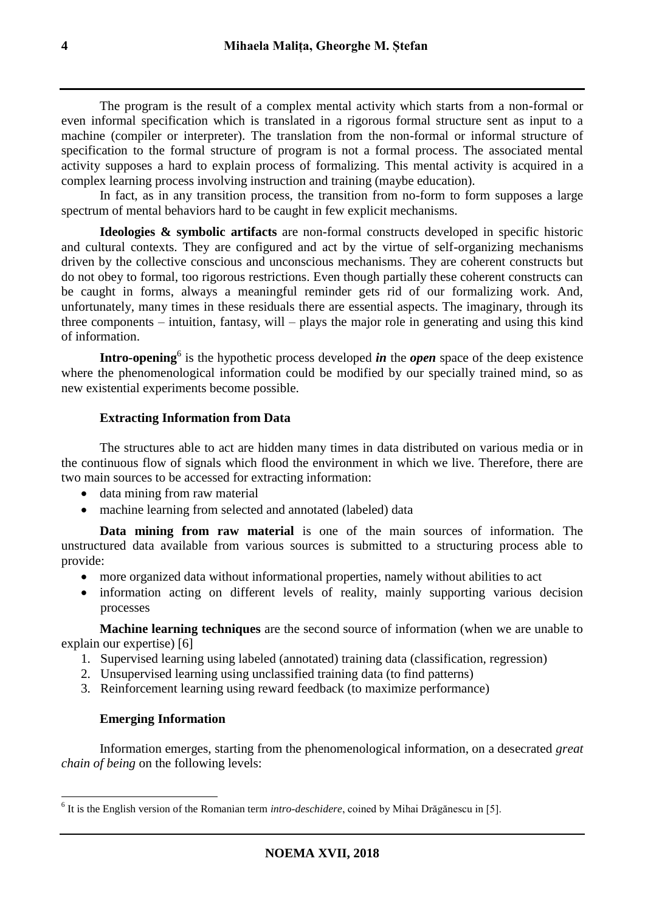The program is the result of a complex mental activity which starts from a non-formal or even informal specification which is translated in a rigorous formal structure sent as input to a machine (compiler or interpreter). The translation from the non-formal or informal structure of specification to the formal structure of program is not a formal process. The associated mental activity supposes a hard to explain process of formalizing. This mental activity is acquired in a complex learning process involving instruction and training (maybe education).

In fact, as in any transition process, the transition from no-form to form supposes a large spectrum of mental behaviors hard to be caught in few explicit mechanisms.

**Ideologies & symbolic artifacts** are non-formal constructs developed in specific historic and cultural contexts. They are configured and act by the virtue of self-organizing mechanisms driven by the collective conscious and unconscious mechanisms. They are coherent constructs but do not obey to formal, too rigorous restrictions. Even though partially these coherent constructs can be caught in forms, always a meaningful reminder gets rid of our formalizing work. And, unfortunately, many times in these residuals there are essential aspects. The imaginary, through its three components – intuition, fantasy, will – plays the major role in generating and using this kind of information.

**Intro-opening**<sup>6</sup> is the hypothetic process developed *in* the *open* space of the deep existence where the phenomenological information could be modified by our specially trained mind, so as new existential experiments become possible.

## **Extracting Information from Data**

The structures able to act are hidden many times in data distributed on various media or in the continuous flow of signals which flood the environment in which we live. Therefore, there are two main sources to be accessed for extracting information:

- data mining from raw material
- machine learning from selected and annotated (labeled) data

**Data mining from raw material** is one of the main sources of information. The unstructured data available from various sources is submitted to a structuring process able to provide:

- more organized data without informational properties, namely without abilities to act
- information acting on different levels of reality, mainly supporting various decision processes

**Machine learning techniques** are the second source of information (when we are unable to explain our expertise) [6]

- 1. Supervised learning using labeled (annotated) training data (classification, regression)
- 2. Unsupervised learning using unclassified training data (to find patterns)
- 3. Reinforcement learning using reward feedback (to maximize performance)

### **Emerging Information**

Information emerges, starting from the phenomenological information, on a desecrated *great chain of being* on the following levels:

 6 It is the English version of the Romanian term *intro-deschidere*, coined by Mihai Drăgănescu in [5].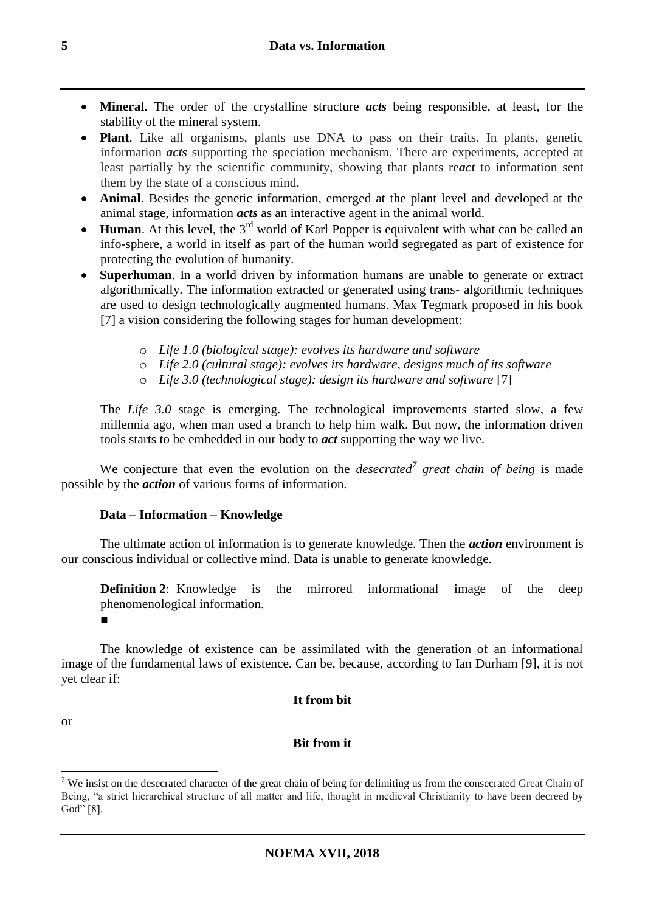- **Mineral**. The order of the crystalline structure *acts* being responsible, at least, for the stability of the mineral system.
- **Plant**. Like all organisms, plants use DNA to pass on their traits. In plants, genetic information *acts* supporting the speciation mechanism. There are experiments, accepted at least partially by the scientific community, showing that plants re*act* to information sent them by the state of a conscious mind.
- **Animal**. Besides the genetic information, emerged at the plant level and developed at the animal stage, information *acts* as an interactive agent in the animal world.
- **Human**. At this level, the 3<sup>rd</sup> world of Karl Popper is equivalent with what can be called an info-sphere, a world in itself as part of the human world segregated as part of existence for protecting the evolution of humanity.
- **Superhuman**. In a world driven by information humans are unable to generate or extract algorithmically. The information extracted or generated using trans- algorithmic techniques are used to design technologically augmented humans. Max Tegmark proposed in his book [7] a vision considering the following stages for human development:
	- o *Life 1.0 (biological stage): evolves its hardware and software*
	- o *Life 2.0 (cultural stage): evolves its hardware, designs much of its software*
	- o *Life 3.0 (technological stage): design its hardware and software* [7]

The *Life 3.0* stage is emerging. The technological improvements started slow, a few millennia ago, when man used a branch to help him walk. But now, the information driven tools starts to be embedded in our body to *act* supporting the way we live.

We conjecture that even the evolution on the *desecrated<sup>7</sup>* great chain of being is made possible by the *action* of various forms of information.

### **Data – Information – Knowledge**

The ultimate action of information is to generate knowledge. Then the *action* environment is our conscious individual or collective mind. Data is unable to generate knowledge.

**Definition 2**: Knowledge is the mirrored informational image of the deep phenomenological information. ■

The knowledge of existence can be assimilated with the generation of an informational image of the fundamental laws of existence. Can be, because, according to Ian Durham [9], it is not yet clear if:

### **It from bit**

or

# **Bit from it**

<sup>1</sup>  $7$  We insist on the desecrated character of the great chain of being for delimiting us from the consecrated Great Chain of Being, "a strict hierarchical structure of all matter and life, thought in medieval Christianity to have been decreed by God" [8].